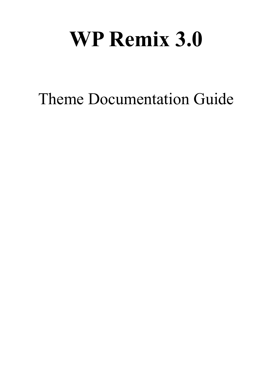# **WP Remix 3.0**

Theme Documentation Guide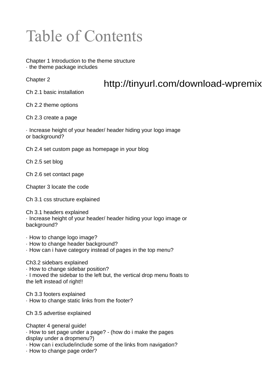## Table of Contents

Chapter 1 Introduction to the theme structure · the theme package includes

Chapter 2

#### http://tinyurl.com/download-wpremix

Ch 2.1 basic installation

Ch 2.2 theme options

Ch 2.3 create a page

· Increase height of your header/ header hiding your logo image or background?

Ch 2.4 set custom page as homepage in your blog

Ch 2.5 set blog

Ch 2.6 set contact page

Chapter 3 locate the code

Ch 3.1 css structure explained

Ch 3.1 headers explained · Increase height of your header/ header hiding your logo image or background?

· How to change logo image?

- · How to change header background?
- · How can i have category instead of pages in the top menu?

Ch3.2 sidebars explained · How to change sidebar position? · I moved the sidebar to the left but, the vertical drop menu floats to the left instead of right!!

Ch 3.3 footers explained · How to change static links from the footer?

Ch 3.5 advertise explained

Chapter 4 general guide!

· How to set page under a page? - (how do i make the pages display under a dropmenu?)

· How can i exclude/include some of the links from navigation?

· How to change page order?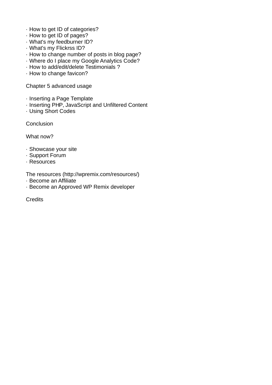- · How to get ID of categories?
- · How to get ID of pages?
- · What's my feedburner ID?
- · What's my Flickrss ID?
- · How to change number of posts in blog page?
- · Where do I place my Google Analytics Code?
- · How to add/edit/delete Testimonials ?
- · How to change favicon?

Chapter 5 advanced usage

- · Inserting a Page Template
- · Inserting PHP, JavaScript and Unfiltered Content
- · Using Short Codes

**Conclusion** 

What now?

- · Showcase your site
- · Support Forum
- · Resources

The resources (http://wpremix.com/resources/)

- · Become an Affiliate
- · Become an Approved WP Remix developer

**Credits**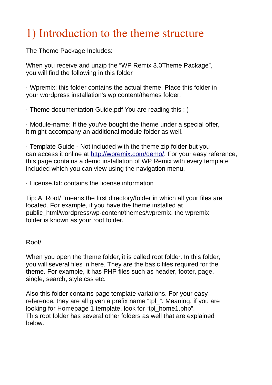### 1) Introduction to the theme structure

The Theme Package Includes:

When you receive and unzip the "WP Remix 3.0Theme Package", you will find the following in this folder

· Wpremix: this folder contains the actual theme. Place this folder in your wordpress installation's wp content/themes folder.

· Theme documentation Guide.pdf You are reading this : )

· Module-name: If the you've bought the theme under a special offer, it might accompany an additional module folder as well.

· Template Guide - Not included with the theme zip folder but you can access it online at [http://wpremix.com/demo/.](http://wpremix.com/demo/) For your easy reference, this page contains a demo installation of WP Remix with every template included which you can view using the navigation menu.

· License.txt: contains the license information

Tip: A "Root/ "means the first directory/folder in which all your files are located. For example, if you have the theme installed at public\_html/wordpress/wp-content/themes/wpremix, the wpremix folder is known as your root folder.

#### Root/

When you open the theme folder, it is called root folder. In this folder, you will several files in here. They are the basic files required for the theme. For example, it has PHP files such as header, footer, page, single, search, style.css etc.

Also this folder contains page template variations. For your easy reference, they are all given a prefix name "tpl\_". Meaning, if you are looking for Homepage 1 template, look for "tpl\_home1.php". This root folder has several other folders as well that are explained below.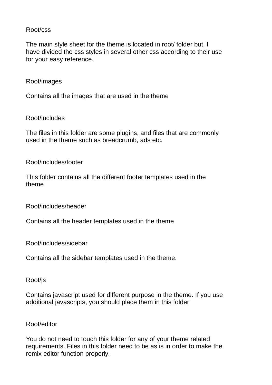#### Root/css

The main style sheet for the theme is located in root/ folder but, I have divided the css styles in several other css according to their use for your easy reference.

#### Root/images

Contains all the images that are used in the theme

Root/includes

The files in this folder are some plugins, and files that are commonly used in the theme such as breadcrumb, ads etc.

Root/includes/footer

This folder contains all the different footer templates used in the theme

Root/includes/header

Contains all the header templates used in the theme

Root/includes/sidebar

Contains all the sidebar templates used in the theme.

Root/js

Contains javascript used for different purpose in the theme. If you use additional javascripts, you should place them in this folder

#### Root/editor

You do not need to touch this folder for any of your theme related requirements. Files in this folder need to be as is in order to make the remix editor function properly.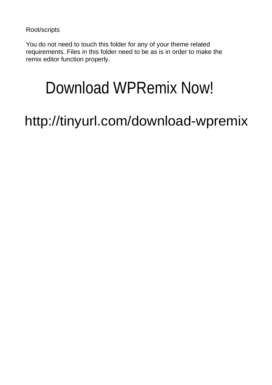Root/scripts

You do not need to touch this folder for any of your theme related requirements. Files in this folder need to be as is in order to make the remix editor function properly.

# Download WPRemix Now!

http://tinyurl.com/download-wpremix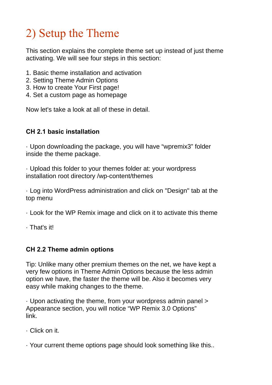### 2) Setup the Theme

This section explains the complete theme set up instead of just theme activating. We will see four steps in this section:

- 1. Basic theme installation and activation
- 2. Setting Theme Admin Options
- 3. How to create Your First page!
- 4. Set a custom page as homepage

Now let's take a look at all of these in detail.

#### **CH 2.1 basic installation**

· Upon downloading the package, you will have "wpremix3" folder inside the theme package.

· Upload this folder to your themes folder at: your wordpress installation root directory /wp-content/themes

· Log into WordPress administration and click on "Design" tab at the top menu

- · Look for the WP Remix image and click on it to activate this theme
- · That's it!

#### **CH 2.2 Theme admin options**

Tip: Unlike many other premium themes on the net, we have kept a very few options in Theme Admin Options because the less admin option we have, the faster the theme will be. Also it becomes very easy while making changes to the theme.

· Upon activating the theme, from your wordpress admin panel > Appearance section, you will notice "WP Remix 3.0 Options" link.

- · Click on it.
- · Your current theme options page should look something like this..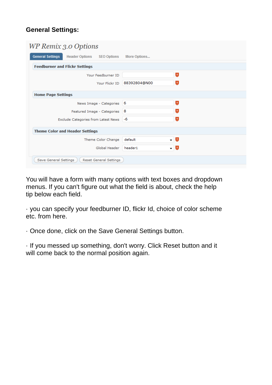#### **General Settings:**

| WP Remix 3.0 Options                                                   |              |                |
|------------------------------------------------------------------------|--------------|----------------|
| <b>General Settings</b><br><b>Header Options</b><br><b>SEO Options</b> | More Options |                |
| <b>Feedburner and Flickr Settings</b>                                  |              |                |
| Your Feedburner ID                                                     |              | $\overline{2}$ |
| Your Flickr ID                                                         | 88392804@N00 | $\overline{3}$ |
| <b>Home Page Settings</b>                                              |              |                |
| News Image - Categories                                                | - 6          | $\overline{a}$ |
| Featured Image - Categories                                            | 8            | $\overline{3}$ |
| Exclude Categories from Latest News                                    | -6           | $\overline{3}$ |
| <b>Theme Color and Header Settings</b>                                 |              |                |
| Theme Color Change                                                     | default      | - 2            |
| Global Header                                                          | header1      | - 2            |
| Save General Settings<br><b>Reset General Settings</b>                 |              |                |

You will have a form with many options with text boxes and dropdown menus. If you can't figure out what the field is about, check the help tip below each field.

· you can specify your feedburner ID, flickr Id, choice of color scheme etc. from here.

· Once done, click on the Save General Settings button.

· If you messed up something, don't worry. Click Reset button and it will come back to the normal position again.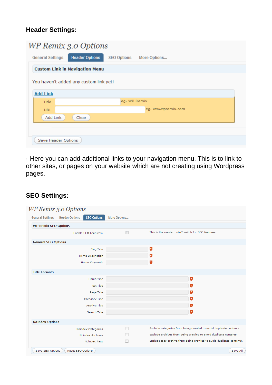#### **Header Settings:**

| <b>WP Remix 3.0 Options</b>                      |                                    |
|--------------------------------------------------|------------------------------------|
| <b>Header Options</b><br><b>General Settings</b> | <b>SEO Options</b><br>More Options |
| <b>Custom Link in Navigation Menu</b>            |                                    |
| You haven't added any custom link yet!           |                                    |
| <b>Add Link</b>                                  |                                    |
| Title                                            | eg. WP Remix                       |
| <b>URL</b>                                       | eg. www.wpremix.com                |
| Add Link<br>Clear                                |                                    |
|                                                  |                                    |
|                                                  |                                    |
| Save Header Options                              |                                    |

· Here you can add additional links to your navigation menu. This is to link to other sites, or pages on your website which are not creating using Wordpress pages.

#### **SEO Settings:**

| WP Remix 3.0 Options                                                   |              |                                                                      |
|------------------------------------------------------------------------|--------------|----------------------------------------------------------------------|
| <b>SEO Options</b><br><b>Header Options</b><br><b>General Settings</b> | More Options |                                                                      |
| <b>WP Remix SEO Options</b>                                            |              |                                                                      |
| Enable SEO Features?                                                   |              | This is the master on/off switch for SEO features.                   |
| <b>General SEO Options</b>                                             |              |                                                                      |
| <b>Blog Title</b>                                                      |              | $\overline{3}$                                                       |
| Home Description                                                       |              | $\overline{2}$                                                       |
| Home Keywords                                                          |              | $\overline{a}$                                                       |
| <b>Title Formats</b>                                                   |              |                                                                      |
| Home Title                                                             |              | $\overline{3}$                                                       |
| Post Title                                                             |              | $\overline{2}$                                                       |
| Page Title                                                             |              | $\overline{2}$                                                       |
| Category Title                                                         |              | $\overline{2}$                                                       |
| Archive Title                                                          |              | $\overline{2}$                                                       |
| Search Title                                                           |              | $\overline{2}$                                                       |
| <b>NoIndex Options</b>                                                 |              |                                                                      |
| Noindex Categories                                                     |              | Exclude categories from being crawled to avoid duplicate contents.   |
| Noindex Archives                                                       |              | Exclude archives from being crawled to avoid duplicate contents.     |
| Noindex Tags                                                           |              | Exclude tags archive from being crawled to avoid duplicate contents. |
| Save SEO Options<br>Reset SEO Options                                  |              | Save All                                                             |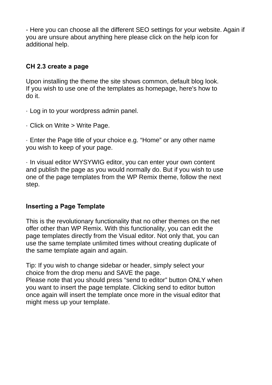- Here you can choose all the different SEO settings for your website. Again if you are unsure about anything here please click on the help icon for additional help.

#### **CH 2.3 create a page**

Upon installing the theme the site shows common, default blog look. If you wish to use one of the templates as homepage, here's how to do it.

- · Log in to your wordpress admin panel.
- · Click on Write > Write Page.

· Enter the Page title of your choice e.g. "Home" or any other name you wish to keep of your page.

· In visual editor WYSYWIG editor, you can enter your own content and publish the page as you would normally do. But if you wish to use one of the page templates from the WP Remix theme, follow the next step.

#### **Inserting a Page Template**

This is the revolutionary functionality that no other themes on the net offer other than WP Remix. With this functionality, you can edit the page templates directly from the Visual editor. Not only that, you can use the same template unlimited times without creating duplicate of the same template again and again.

Tip: If you wish to change sidebar or header, simply select your choice from the drop menu and SAVE the page.

Please note that you should press "send to editor" button ONLY when you want to insert the page template. Clicking send to editor button once again will insert the template once more in the visual editor that might mess up your template.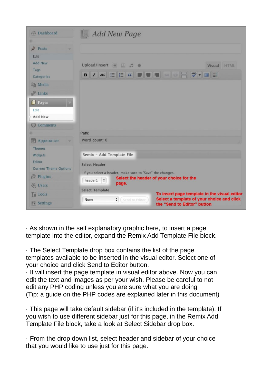| <b>Oashboard</b>                                            |                                            | <b>Add New Page</b>                                               |                                          |                                                                                            |
|-------------------------------------------------------------|--------------------------------------------|-------------------------------------------------------------------|------------------------------------------|--------------------------------------------------------------------------------------------|
| $\mathcal{P}$ Posts<br>Edit                                 |                                            |                                                                   |                                          |                                                                                            |
| <b>Add New</b><br>Tags<br>Categories                        | Upload/Insert                              | $\Box$<br>田 戸                                                     | B 7 ARC HE C F F R & F 7 D H             | HTML<br>Visual                                                                             |
| (图 Media<br>$\mathscr{P}$ Links                             |                                            |                                                                   |                                          |                                                                                            |
| Pages<br><b>Edit</b><br>Add New                             |                                            |                                                                   |                                          |                                                                                            |
| $\bigcirc$ Comments                                         |                                            |                                                                   |                                          |                                                                                            |
| 司 Appearance                                                | Path:<br>Word count: 0                     |                                                                   |                                          |                                                                                            |
| Themes<br>Widgets<br>Editor<br><b>Current Theme Options</b> | Remix - Add Template File<br>Select Header |                                                                   |                                          |                                                                                            |
| <b>S</b> Plugins<br><b>&amp; Users</b>                      | header1 $\div$                             | If you select a header, make sure to "Save" the changes.<br>page. | Select the header of your choice for the |                                                                                            |
| Th Tools                                                    | <b>Select Template</b><br>None             | $\div$<br>(Send to Editor                                         |                                          | To insert page template in the visual editor<br>Select a template of your choice and click |
| <b>IT Settings</b>                                          | the "Send to Editor" button                |                                                                   |                                          |                                                                                            |

· As shown in the self explanatory graphic here, to insert a page template into the editor, expand the Remix Add Template File block.

· The Select Template drop box contains the list of the page templates available to be inserted in the visual editor. Select one of your choice and click Send to Editor button.

· It will insert the page template in visual editor above. Now you can edit the text and images as per your wish. Please be careful to not edit any PHP coding unless you are sure what you are doing (Tip: a guide on the PHP codes are explained later in this document)

· This page will take default sidebar (if it's included in the template). If you wish to use different sidebar just for this page, in the Remix Add Template File block, take a look at Select Sidebar drop box.

· From the drop down list, select header and sidebar of your choice that you would like to use just for this page.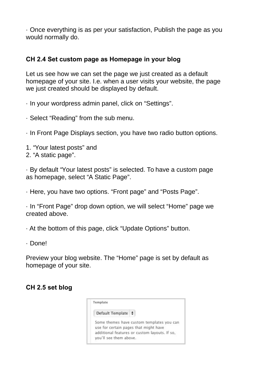· Once everything is as per your satisfaction, Publish the page as you would normally do.

#### **CH 2.4 Set custom page as Homepage in your blog**

Let us see how we can set the page we just created as a default homepage of your site. I.e. when a user visits your website, the page we just created should be displayed by default.

· In your wordpress admin panel, click on "Settings".

· Select "Reading" from the sub menu.

· In Front Page Displays section, you have two radio button options.

1. "Your latest posts" and

2. "A static page".

· By default "Your latest posts" is selected. To have a custom page as homepage, select "A Static Page".

· Here, you have two options. "Front page" and "Posts Page".

· In "Front Page" drop down option, we will select "Home" page we created above.

· At the bottom of this page, click "Update Options" button.

· Done!

Preview your blog website. The "Home" page is set by default as homepage of your site.

#### **CH 2.5 set blog**

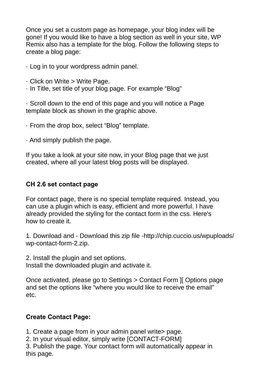Once you set a custom page as homepage, your blog index will be gone! If you would like to have a blog section as well in your site, WP Remix also has a template for the blog. Follow the following steps to create a blog page:

- · Log in to your wordpress admin panel.
- · Click on Write > Write Page.
- · In Title, set title of your blog page. For example "Blog"

· Scroll down to the end of this page and you will notice a Page template block as shown in the graphic above.

· From the drop box, select "Blog" template.

· And simply publish the page.

If you take a look at your site now, in your Blog page that we just created, where all your latest blog posts will be displayed.

#### **CH 2.6 set contact page**

For contact page, there is no special template required. Instead, you can use a plugin which is easy, efficient and more powerful. I have already provided the styling for the contact form in the css. Here's how to create it.

1. Download and - Download this zip file -http://chip.cuccio.us/wpuploads/ wp-contact-form-2.zip.

2. Install the plugin and set options. Install the downloaded plugin and activate it.

Once activated, please go to Settings > Contact Form ][ Options page and set the options like "where you would like to receive the email" etc.

#### **Create Contact Page:**

1. Create a page from in your admin panel write> page.

2. In your visual editor, simply write [CONTACT-FORM]

3. Publish the page. Your contact form will automatically appear in this page.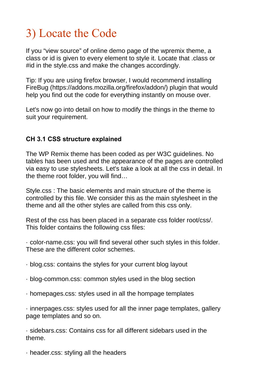### 3) Locate the Code

If you "view source" of online demo page of the wpremix theme, a class or id is given to every element to style it. Locate that .class or #id in the style.css and make the changes accordingly.

Tip: If you are using firefox browser, I would recommend installing FireBug (https://addons.mozilla.org/firefox/addon/) plugin that would help you find out the code for everything instantly on mouse over.

Let's now go into detail on how to modify the things in the theme to suit your requirement.

#### **CH 3.1 CSS structure explained**

The WP Remix theme has been coded as per W3C guidelines. No tables has been used and the appearance of the pages are controlled via easy to use stylesheets. Let's take a look at all the css in detail. In the theme root folder, you will find…

Style.css : The basic elements and main structure of the theme is controlled by this file. We consider this as the main stylesheet in the theme and all the other styles are called from this css only.

Rest of the css has been placed in a separate css folder root/css/. This folder contains the following css files:

· color-name.css: you will find several other such styles in this folder. These are the different color schemes.

- · blog.css: contains the styles for your current blog layout
- · blog-common.css: common styles used in the blog section
- · homepages.css: styles used in all the hompage templates

· innerpages.css: styles used for all the inner page templates, gallery page templates and so on.

· sidebars.css: Contains css for all different sidebars used in the theme.

· header.css: styling all the headers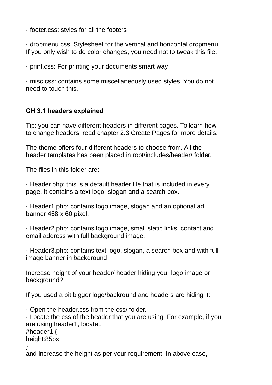· footer.css: styles for all the footers

· dropmenu.css: Stylesheet for the vertical and horizontal dropmenu. If you only wish to do color changes, you need not to tweak this file.

· print.css: For printing your documents smart way

· misc.css: contains some miscellaneously used styles. You do not need to touch this.

#### **CH 3.1 headers explained**

Tip: you can have different headers in different pages. To learn how to change headers, read chapter 2.3 Create Pages for more details.

The theme offers four different headers to choose from. All the header templates has been placed in root/includes/header/ folder.

The files in this folder are:

· Header.php: this is a default header file that is included in every page. It contains a text logo, slogan and a search box.

· Header1.php: contains logo image, slogan and an optional ad banner 468 x 60 pixel.

· Header2.php: contains logo image, small static links, contact and email address with full background image.

· Header3.php: contains text logo, slogan, a search box and with full image banner in background.

Increase height of your header/ header hiding your logo image or background?

If you used a bit bigger logo/backround and headers are hiding it:

· Open the header.css from the css/ folder.

· Locate the css of the header that you are using. For example, if you are using header1, locate..

#header1 {

height:85px;

}

and increase the height as per your requirement. In above case,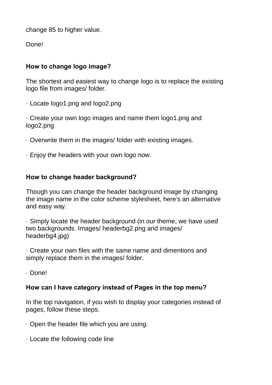change 85 to higher value.

Done!

#### **How to change logo image?**

The shortest and easiest way to change logo is to replace the existing logo file from images/ folder.

· Locate logo1.png and logo2.png

· Create your own logo images and name them logo1.png and logo2.png

- · Overwrite them in the images/ folder with existing images.
- · Enjoy the headers with your own logo now.

#### **How to change header background?**

Though you can change the header background image by changing the image name in the color scheme stylesheet, here's an alternative and easy way.

· Simply locate the header background (in our theme, we have used two backgrounds. Images/ headerbg2.png and images/ headerbg4.jpg)

· Create your own files with the same name and dimentions and simply replace them in the images/ folder.

· Done!

#### **How can I have category instead of Pages in the top menu?**

In the top navigation, if you wish to display your categories instead of pages, follow these steps.

- · Open the header file which you are using.
- · Locate the following code line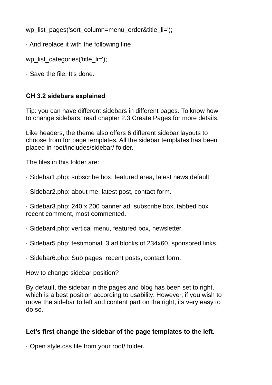wp\_list\_pages('sort\_column=menu\_order&title\_li=');

· And replace it with the following line

wp\_list\_categories('title\_li=');

· Save the file. It's done.

#### **CH 3.2 sidebars explained**

Tip: you can have different sidebars in different pages. To know how to change sidebars, read chapter 2.3 Create Pages for more details.

Like headers, the theme also offers 6 different sidebar layouts to choose from for page templates. All the sidebar templates has been placed in root/includes/sidebar/ folder.

The files in this folder are:

- · Sidebar1.php: subscribe box, featured area, latest news.default
- · Sidebar2.php: about me, latest post, contact form.

· Sidebar3.php: 240 x 200 banner ad, subscribe box, tabbed box recent comment, most commented.

- · Sidebar4.php: vertical menu, featured box, newsletter.
- · Sidebar5.php: testimonial, 3 ad blocks of 234x60, sponsored links.
- · Sidebar6.php: Sub pages, recent posts, contact form.

How to change sidebar position?

By default, the sidebar in the pages and blog has been set to right, which is a best position according to usability. However, if you wish to move the sidebar to left and content part on the right, its very easy to do so.

#### **Let's first change the sidebar of the page templates to the left.**

· Open style.css file from your root/ folder.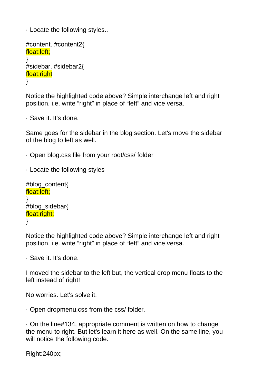· Locate the following styles..

```
#content. #content2{
float:left;
}
#sidebar, #sidebar2{
float:right
}
```
Notice the highlighted code above? Simple interchange left and right position. i.e. write "right" in place of "left" and vice versa.

· Save it. It's done.

Same goes for the sidebar in the blog section. Let's move the sidebar of the blog to left as well.

· Open blog.css file from your root/css/ folder

```
· Locate the following styles
```

```
#blog_content{
float:left;
}
#blog_sidebar{
float:right;
}
```
Notice the highlighted code above? Simple interchange left and right position. i.e. write "right" in place of "left" and vice versa.

· Save it. It's done.

I moved the sidebar to the left but, the vertical drop menu floats to the left instead of right!

No worries. Let's solve it.

· Open dropmenu.css from the css/ folder.

· On the line#134, appropriate comment is written on how to change the menu to right. But let's learn it here as well. On the same line, you will notice the following code.

Right:240px;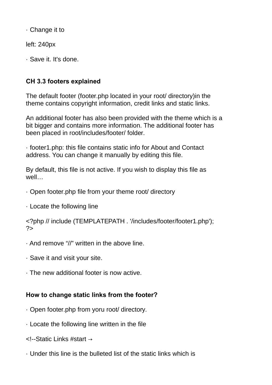· Change it to

left: 240px

· Save it. It's done.

#### **CH 3.3 footers explained**

The default footer (footer.php located in your root/ directory)in the theme contains copyright information, credit links and static links.

An additional footer has also been provided with the theme which is a bit bigger and contains more information. The additional footer has been placed in root/includes/footer/ folder.

· footer1.php: this file contains static info for About and Contact address. You can change it manually by editing this file.

By default, this file is not active. If you wish to display this file as well…

· Open footer.php file from your theme root/ directory

· Locate the following line

<?php // include (TEMPLATEPATH . '/includes/footer/footer1.php');  $2$ 

- · And remove "//" written in the above line.
- · Save it and visit your site.
- · The new additional footer is now active.

#### **How to change static links from the footer?**

- · Open footer.php from yoru root/ directory.
- · Locate the following line written in the file
- <!--Static Links #start →
- · Under this line is the bulleted list of the static links which is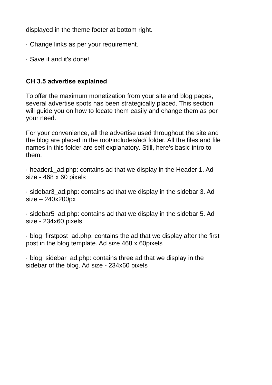displayed in the theme footer at bottom right.

- · Change links as per your requirement.
- · Save it and it's done!

#### **CH 3.5 advertise explained**

To offer the maximum monetization from your site and blog pages, several advertise spots has been strategically placed. This section will guide you on how to locate them easily and change them as per your need.

For your convenience, all the advertise used throughout the site and the blog are placed in the root/includes/ad/ folder. All the files and file names in this folder are self explanatory. Still, here's basic intro to them.

· header1\_ad.php: contains ad that we display in the Header 1. Ad size - 468 x 60 pixels

· sidebar3\_ad.php: contains ad that we display in the sidebar 3. Ad size – 240x200px

· sidebar5\_ad.php: contains ad that we display in the sidebar 5. Ad size - 234x60 pixels

· blog\_firstpost\_ad.php: contains the ad that we display after the first post in the blog template. Ad size 468 x 60pixels

· blog\_sidebar\_ad.php: contains three ad that we display in the sidebar of the blog. Ad size - 234x60 pixels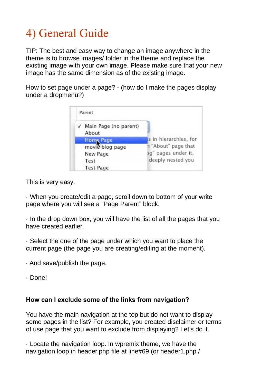### 4) General Guide

TIP: The best and easy way to change an image anywhere in the theme is to browse images/ folder in the theme and replace the existing image with your own image. Please make sure that your new image has the same dimension as of the existing image.

How to set page under a page? - (how do I make the pages display under a dropmenu?)



This is very easy.

· When you create/edit a page, scroll down to bottom of your write page where you will see a "Page Parent" block.

· In the drop down box, you will have the list of all the pages that you have created earlier.

· Select the one of the page under which you want to place the current page (the page you are creating/editing at the moment).

· And save/publish the page.

· Done!

#### **How can I exclude some of the links from navigation?**

You have the main navigation at the top but do not want to display some pages in the list? For example, you created disclaimer or terms of use page that you want to exclude from displaying? Let's do it.

· Locate the navigation loop. In wpremix theme, we have the navigation loop in header.php file at line#69 (or header1.php /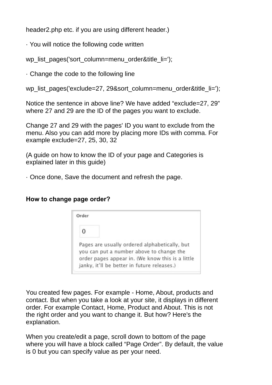header2.php etc. if you are using different header.)

· You will notice the following code written

wp\_list\_pages('sort\_column=menu\_order&title\_li=');

· Change the code to the following line

wp\_list\_pages('exclude=27, 29&sort\_column=menu\_order&title\_li=');

Notice the sentence in above line? We have added "exclude=27, 29" where 27 and 29 are the ID of the pages you want to exclude.

Change 27 and 29 with the pages' ID you want to exclude from the menu. Also you can add more by placing more IDs with comma. For example exclude=27, 25, 30, 32

(A guide on how to know the ID of your page and Categories is explained later in this guide)

· Once done, Save the document and refresh the page.

#### **How to change page order?**

| Order |                                                                                                                                                                                              |
|-------|----------------------------------------------------------------------------------------------------------------------------------------------------------------------------------------------|
| 0     |                                                                                                                                                                                              |
|       | Pages are usually ordered alphabetically, but<br>you can put a number above to change the<br>order pages appear in. (We know this is a little<br>janky, it'll be better in future releases.) |

You created few pages. For example - Home, About, products and contact. But when you take a look at your site, it displays in different order. For example Contact, Home, Product and About. This is not the right order and you want to change it. But how? Here's the explanation.

When you create/edit a page, scroll down to bottom of the page where you will have a block called "Page Order". By default, the value is 0 but you can specify value as per your need.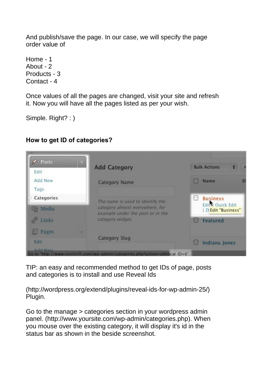And publish/save the page. In our case, we will specify the page order value of

Home - 1 About - 2 Products - 3 Contact - 4

Once values of all the pages are changed, visit your site and refresh it. Now you will have all the pages listed as per your wish.

Simple. Right? : )

#### **How to get ID of categories?**

| Edit                | <b>Add Category</b>                                                 |          | <b>Bulk Actions</b><br>÷              |
|---------------------|---------------------------------------------------------------------|----------|---------------------------------------|
| Add New<br>Tags     | <b>Category Name</b>                                                |          | <b>Name</b><br>D                      |
| Categories          | The name is used to identify the                                    | $\omega$ | <b>Business</b>                       |
| <b>吗</b> Media      | category almost everywhere, for<br>example under the post or in the |          | Ediky Ouick Edit<br>D Edit "Business" |
| $\mathscr{E}$ Links | category widget.                                                    |          | <b>Featured</b>                       |
| Pages               |                                                                     |          |                                       |
| Edit                | <b>Category Slug</b>                                                |          | <b>Indiana Jones</b>                  |

TIP: an easy and recommended method to get IDs of page, posts and categories is to install and use Reveal Ids

(http://wordpress.org/extend/plugins/reveal-ids-for-wp-admin-25/) Plugin.

Go to the manage > categories section in your wordpress admin panel. (http://www.yoursite.com/wp-admin/categories.php). When you mouse over the existing category, it will display it's id in the status bar as shown in the beside screenshot.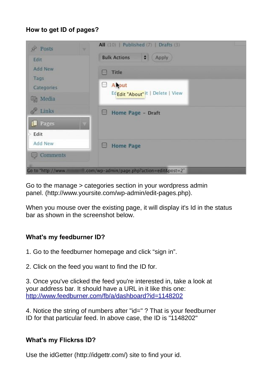#### **How to get ID of pages?**



Go to the manage > categories section in your wordpress admin panel. (http://www.yoursite.com/wp-admin/edit-pages.php).

When you mouse over the existing page, it will display it's Id in the status bar as shown in the screenshot below.

#### **What's my feedburner ID?**

1. Go to the feedburner homepage and click "sign in".

2. Click on the feed you want to find the ID for.

3. Once you've clicked the feed you're interested in, take a look at your address bar. It should have a URL in it like this one: <http://www.feedburner.com/fb/a/dashboard?id=1148202>

4. Notice the string of numbers after "id=" ? That is your feedburner ID for that particular feed. In above case, the ID is "1148202"

#### **What's my Flickrss ID?**

Use the idGetter (http://idgettr.com/) site to find your id.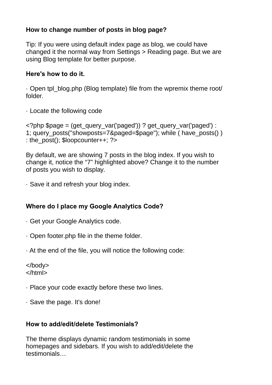#### **How to change number of posts in blog page?**

Tip: If you were using default index page as blog, we could have changed it the normal way from Settings > Reading page. But we are using Blog template for better purpose.

#### **Here's how to do it.**

· Open tpl\_blog.php (Blog template) file from the wpremix theme root/ folder.

· Locate the following code

```
<?php $page = (get_query_var('paged')) ? get_query_var('paged') :
1; query posts("showposts=7&paged=$page"); while ( have posts() )
: the_post(); $loopcounter++; ?>
```
By default, we are showing 7 posts in the blog index. If you wish to change it, notice the "7" highlighted above? Change it to the number of posts you wish to display.

· Save it and refresh your blog index.

#### **Where do I place my Google Analytics Code?**

- · Get your Google Analytics code.
- · Open footer.php file in the theme folder.
- · At the end of the file, you will notice the following code:

</body> </html>

- · Place your code exactly before these two lines.
- · Save the page. It's done!

#### **How to add/edit/delete Testimonials?**

The theme displays dynamic random testimonials in some homepages and sidebars. If you wish to add/edit/delete the testimonials…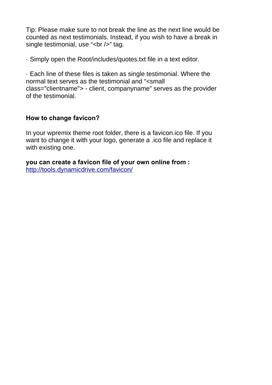Tip: Please make sure to not break the line as the next line would be counted as next testimonials. Instead, if you wish to have a break in single testimonial, use "<br />>" tag.

· Simply open the Root/includes/quotes.txt file in a text editor.

· Each line of these files is taken as single testimonial. Where the normal text serves as the testimonial and "<small class="clientname"> - client, companyname" serves as the provider of the testimonial.

#### **How to change favicon?**

In your wpremix theme root folder, there is a favicon.ico file. If you want to change it with your logo, generate a .ico file and replace it with existing one.

**you can create a favicon file of your own online from :** <http://tools.dynamicdrive.com/favicon/>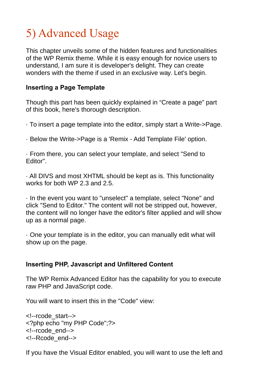### 5) Advanced Usage

This chapter unveils some of the hidden features and functionalities of the WP Remix theme. While it is easy enough for novice users to understand, I am sure it is developer's delight. They can create wonders with the theme if used in an exclusive way. Let's begin.

#### **Inserting a Page Template**

Though this part has been quickly explained in "Create a page" part of this book, here's thorough description.

· To insert a page template into the editor, simply start a Write->Page.

· Below the Write->Page is a 'Remix - Add Template File' option.

· From there, you can select your template, and select "Send to Editor".

· All DIVS and most XHTML should be kept as is. This functionality works for both WP 2.3 and 2.5.

· In the event you want to "unselect" a template, select "None" and click "Send to Editor." The content will not be stripped out, however, the content will no longer have the editor's filter applied and will show up as a normal page.

· One your template is in the editor, you can manually edit what will show up on the page.

#### **Inserting PHP, Javascript and Unfiltered Content**

The WP Remix Advanced Editor has the capability for you to execute raw PHP and JavaScript code.

You will want to insert this in the "Code" view:

<!--rcode\_start--> <?php echo "my PHP Code";?> <!--rcode\_end--> <!--Rcode\_end-->

If you have the Visual Editor enabled, you will want to use the left and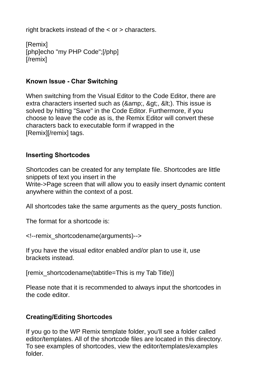right brackets instead of the < or > characters.

[Remix] [php]echo "my PHP Code";[/php] [/remix]

#### **Known Issue - Char Switching**

When switching from the Visual Editor to the Code Editor, there are extra characters inserted such as (&, &qt;, <). This issue is solved by hitting "Save" in the Code Editor. Furthermore, if you choose to leave the code as is, the Remix Editor will convert these characters back to executable form if wrapped in the [Remix][/remix] tags.

#### **Inserting Shortcodes**

Shortcodes can be created for any template file. Shortcodes are little snippets of text you insert in the Write->Page screen that will allow you to easily insert dynamic content anywhere within the context of a post.

All shortcodes take the same arguments as the query\_posts function.

The format for a shortcode is:

<!--remix\_shortcodename(arguments)-->

If you have the visual editor enabled and/or plan to use it, use brackets instead.

[remix\_shortcodename(tabtitle=This is my Tab Title)]

Please note that it is recommended to always input the shortcodes in the code editor.

#### **Creating/Editing Shortcodes**

If you go to the WP Remix template folder, you'll see a folder called editor/templates. All of the shortcode files are located in this directory. To see examples of shortcodes, view the editor/templates/examples folder.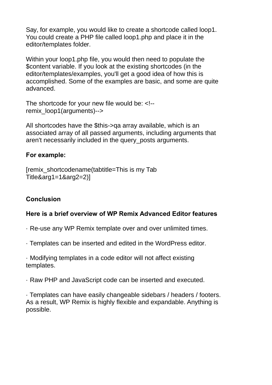Say, for example, you would like to create a shortcode called loop1. You could create a PHP file called loop1.php and place it in the editor/templates folder.

Within your loop1.php file, you would then need to populate the \$content variable. If you look at the existing shortcodes (in the editor/templates/examples, you'll get a good idea of how this is accomplished. Some of the examples are basic, and some are quite advanced.

The shortcode for your new file would be: <!- remix\_loop1(arguments)-->

All shortcodes have the \$this->qa array available, which is an associated array of all passed arguments, including arguments that aren't necessarily included in the query\_posts arguments.

#### **For example:**

[remix\_shortcodename(tabtitle=This is my Tab Title&arg1=1&arg2=2)]

#### **Conclusion**

#### **Here is a brief overview of WP Remix Advanced Editor features**

- · Re-use any WP Remix template over and over unlimited times.
- · Templates can be inserted and edited in the WordPress editor.

· Modifying templates in a code editor will not affect existing templates.

· Raw PHP and JavaScript code can be inserted and executed.

· Templates can have easily changeable sidebars / headers / footers. As a result, WP Remix is highly flexible and expandable. Anything is possible.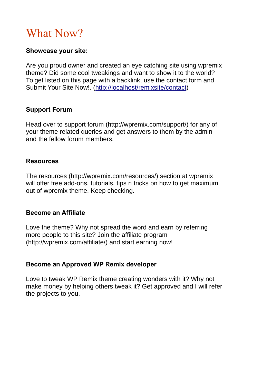### What Now?

#### **Showcase your site:**

Are you proud owner and created an eye catching site using wpremix theme? Did some cool tweakings and want to show it to the world? To get listed on this page with a backlink, use the contact form and Submit Your Site Now!. [\(http://localhost/remixsite/contact\)](http://localhost/remixsite/contact)

#### **Support Forum**

Head over to support forum (http://wpremix.com/support/) for any of your theme related queries and get answers to them by the admin and the fellow forum members.

#### **Resources**

The resources (http://wpremix.com/resources/) section at wpremix will offer free add-ons, tutorials, tips n tricks on how to get maximum out of wpremix theme. Keep checking.

#### **Become an Affiliate**

Love the theme? Why not spread the word and earn by referring more people to this site? Join the affiliate program (http://wpremix.com/affiliate/) and start earning now!

#### **Become an Approved WP Remix developer**

Love to tweak WP Remix theme creating wonders with it? Why not make money by helping others tweak it? Get approved and I will refer the projects to you.